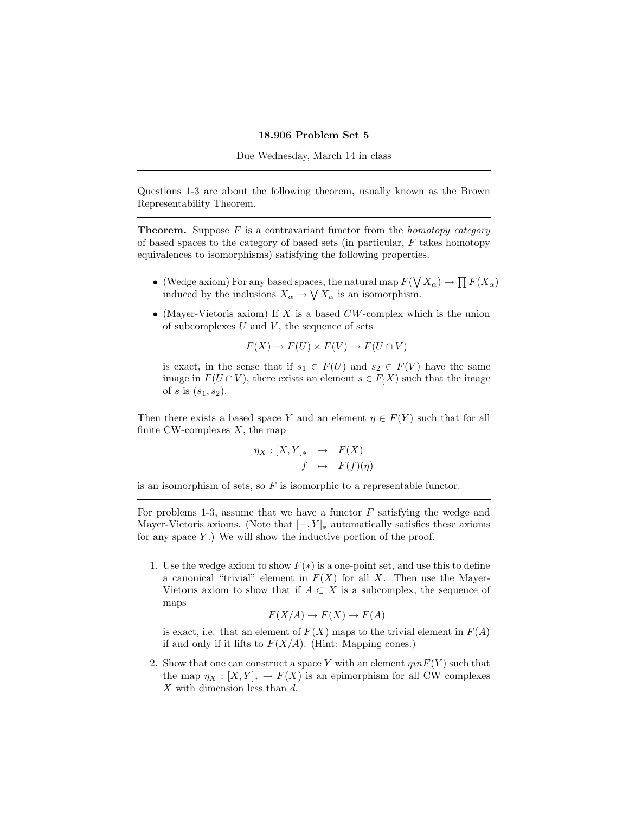## 18.906 Problem Set 5

Due Wednesday, March 14 in class

Questions 1-3 are about the following theorem, usually known as the Brown Representability Theorem.

**Theorem.** Suppose  $F$  is a contravariant functor from the *homotopy category* of based spaces to the category of based sets (in particular,  $F$  takes homotopy equivalences to isomorphisms) satisfying the following properties.

- (Wedge axiom) For any based spaces, the natural map  $F(\bigvee X_\alpha) \to \prod F(X_\alpha)$ induced by the inclusions  $X_{\alpha} \to \bigvee X_{\alpha}$  is an isomorphism.
- (Mayer-Vietoris axiom) If X is a based  $CW$ -complex which is the union of subcomplexes  $U$  and  $V$ , the sequence of sets

 $F(X) \to F(U) \times F(V) \to F(U \cap V)$ 

is exact, in the sense that if  $s_1 \in F(U)$  and  $s_2 \in F(V)$  have the same image in  $F(U \cap V)$ , there exists an element  $s \in F(X)$  such that the image of s is  $(s_1, s_2)$ .

Then there exists a based space Y and an element  $\eta \in F(Y)$  such that for all finite CW-complexes  $X$ , the map

$$
\eta_X : [X, Y]_* \rightarrow F(X)
$$
  

$$
f \mapsto F(f)(\eta)
$$

is an isomorphism of sets, so  $F$  is isomorphic to a representable functor.

For problems 1-3, assume that we have a functor  $F$  satisfying the wedge and Mayer-Vietoris axioms. (Note that  $[-, Y]_*$  automatically satisfies these axioms for any space  $Y$ .) We will show the inductive portion of the proof.

1. Use the wedge axiom to show  $F(*)$  is a one-point set, and use this to define a canonical "trivial" element in  $F(X)$  for all X. Then use the Mayer-Vietoris axiom to show that if  $A \subset X$  is a subcomplex, the sequence of maps

$$
F(X/A) \to F(X) \to F(A)
$$

is exact, i.e. that an element of  $F(X)$  maps to the trivial element in  $F(A)$ if and only if it lifts to  $F(X/A)$ . (Hint: Mapping cones.)

2. Show that one can construct a space Y with an element  $\eta$ in $F(Y)$  such that the map  $\eta_X : [X, Y]_* \to F(X)$  is an epimorphism for all CW complexes X with dimension less than d.